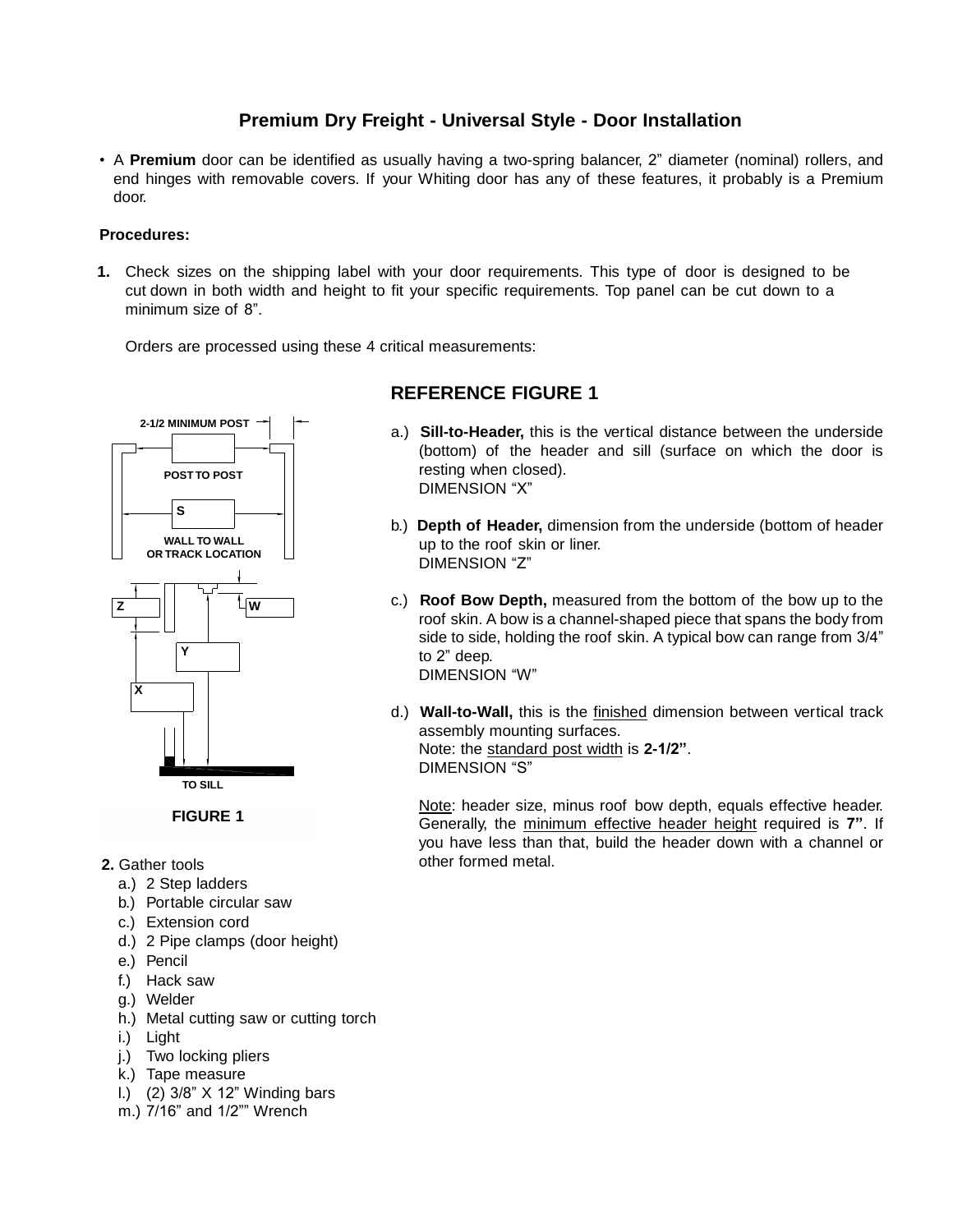## **Premium Dry Freight - Universal Style - Door Installation**

• A **Premium** door can be identified as usually having a two-spring balancer, 2" diameter (nominal) rollers, and end hinges with removable covers. If your Whiting door has any of these features, it probably is a Premium door.

## **Procedures:**

**1.** Check sizes on the shipping label with your door requirements. This type of door is designed to be cut down in both width and height to fit your specific requirements. Top panel can be cut down to a minimum size of 8".

Orders are processed using these 4 critical measurements:



- **2.** Gather tools
	- a.) 2 Step ladders
	- b.) Portable circular saw
	- c.) Extension cord
	- d.) 2 Pipe clamps (door height)
	- e.) Pencil
	- f.) Hack saw
	- g.) Welder
	- h.) Metal cutting saw or cutting torch
	- i.) Light
	- j.) Two locking pliers
	- k.) Tape measure
	- l.) (2) 3/8" X 12" Winding bars
	- m.) 7/16" and 1/2"" Wrench

## **REFERENCE FIGURE 1**

- a.) **Sill-to-Header,** this is the vertical distance between the underside (bottom) of the header and sill (surface on which the door is resting when closed). DIMENSION "X"
- b.) **Depth of Header,** dimension from the underside (bottom of header up to the roof skin or liner. DIMENSION "Z"
- c.) **Roof Bow Depth,** measured from the bottom of the bow up to the roof skin. A bow is a channel-shaped piece that spans the body from side to side, holding the roof skin. A typical bow can range from 3/4" to 2" deep. DIMENSION "W"
- d.) **Wall-to-Wall,** this is the finished dimension between vertical track assembly mounting surfaces. Note: the standard post width is **2-1/2"**. DIMENSION "S"

Note: header size, minus roof bow depth, equals effective header. Generally, the minimum effective header height required is **7"**. If you have less than that, build the header down with a channel or other formed metal.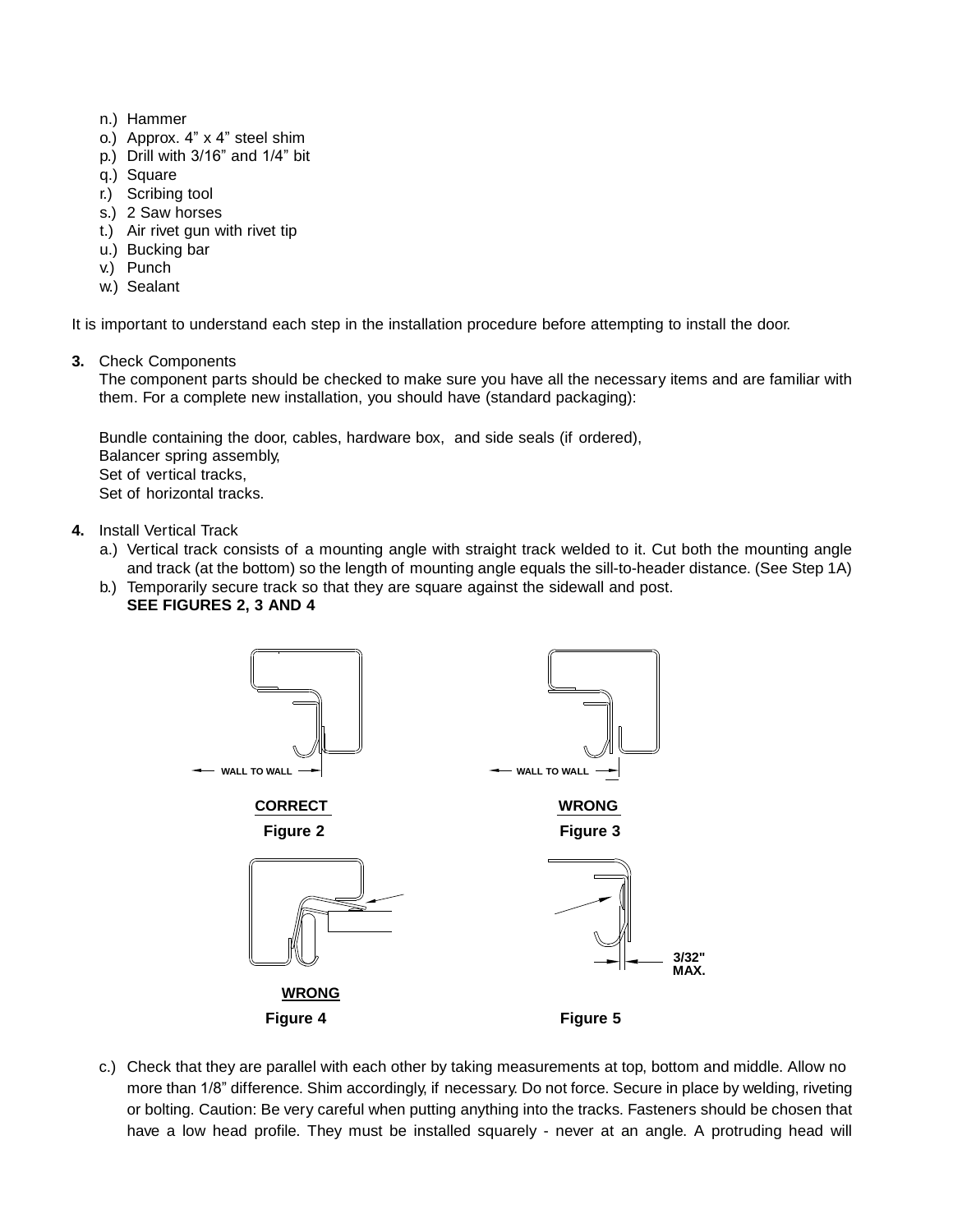- n.) Hammer
- o.) Approx. 4" x 4" steel shim
- p.) Drill with 3/16" and 1/4" bit
- q.) Square
- r.) Scribing tool
- s.) 2 Saw horses
- t.) Air rivet gun with rivet tip
- u.) Bucking bar
- v.) Punch
- w.) Sealant

It is important to understand each step in the installation procedure before attempting to install the door.

**3.** Check Components

The component parts should be checked to make sure you have all the necessary items and are familiar with them. For a complete new installation, you should have (standard packaging):

Bundle containing the door, cables, hardware box, and side seals (if ordered), Balancer spring assembly, Set of vertical tracks, Set of horizontal tracks.

- **4.** Install Vertical Track
	- a.) Vertical track consists of a mounting angle with straight track welded to it. Cut both the mounting angle and track (at the bottom) so the length of mounting angle equals the sill-to-header distance. (See Step 1A)
	- b.) Temporarily secure track so that they are square against the sidewall and post.
		- **SEE FIGURES 2, 3 AND 4**



c.) Check that they are parallel with each other by taking measurements at top, bottom and middle. Allow no more than 1/8" difference. Shim accordingly, if necessary. Do not force. Secure in place by welding, riveting or bolting. Caution: Be very careful when putting anything into the tracks. Fasteners should be chosen that have a low head profile. They must be installed squarely - never at an angle. A protruding head will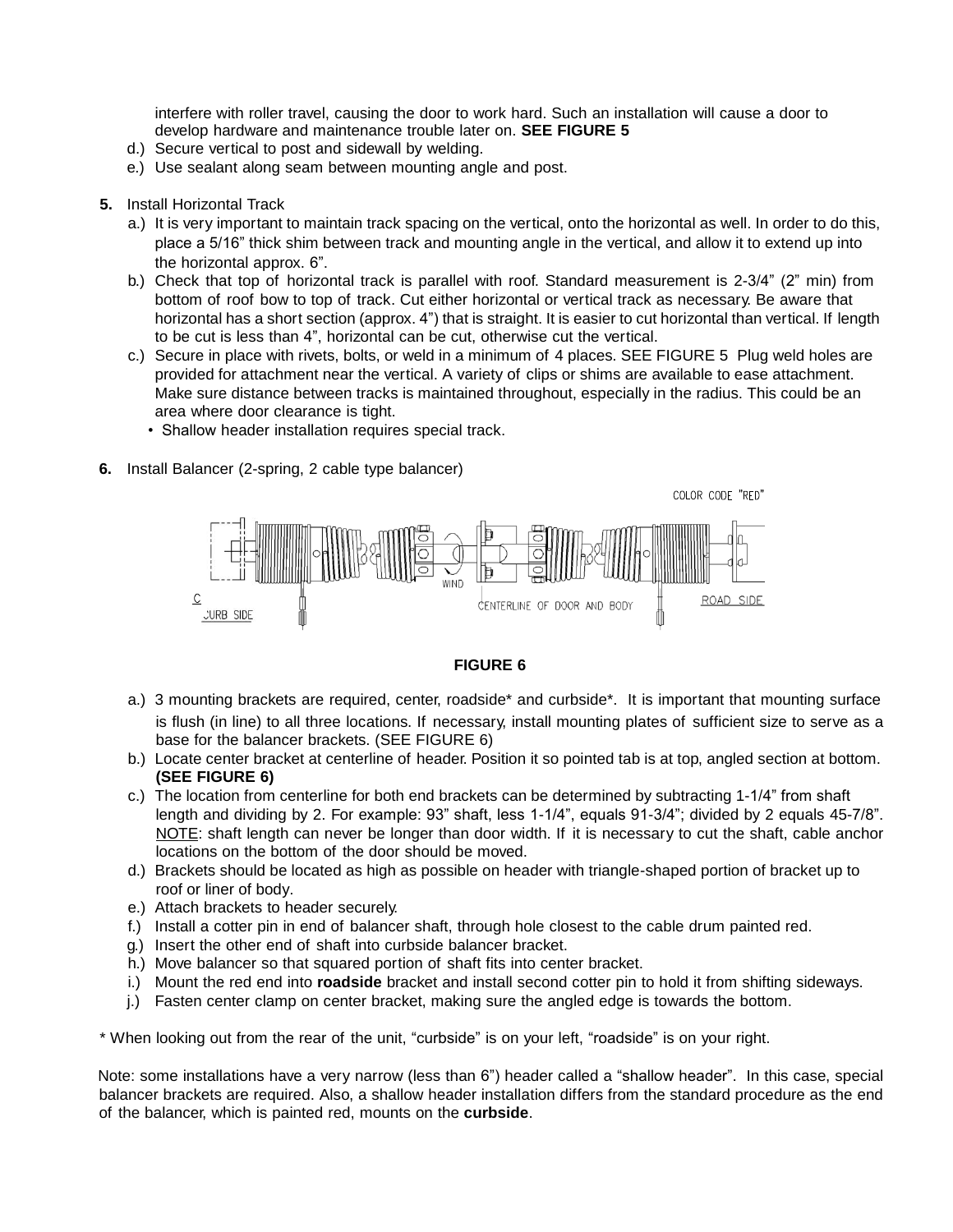interfere with roller travel, causing the door to work hard. Such an installation will cause a door to develop hardware and maintenance trouble later on. **SEE FIGURE 5**

- d.) Secure vertical to post and sidewall by welding.
- e.) Use sealant along seam between mounting angle and post.
- **5.** Install Horizontal Track
	- a.) It is very important to maintain track spacing on the vertical, onto the horizontal as well. In order to do this, place a 5/16" thick shim between track and mounting angle in the vertical, and allow it to extend up into the horizontal approx. 6".
	- b.) Check that top of horizontal track is parallel with roof. Standard measurement is 2-3/4" (2" min) from bottom of roof bow to top of track. Cut either horizontal or vertical track as necessary. Be aware that horizontal has a short section (approx. 4") that is straight. It is easier to cut horizontal than vertical. If length to be cut is less than 4", horizontal can be cut, otherwise cut the vertical.
	- c.) Secure in place with rivets, bolts, or weld in a minimum of 4 places. SEE FIGURE 5 Plug weld holes are provided for attachment near the vertical. A variety of clips or shims are available to ease attachment. Make sure distance between tracks is maintained throughout, especially in the radius. This could be an area where door clearance is tight.
		- Shallow header installation requires special track.
- **6.** Install Balancer (2-spring, 2 cable type balancer)





- a.) 3 mounting brackets are required, center, roadside\* and curbside\*. It is important that mounting surface is flush (in line) to all three locations. If necessary, install mounting plates of sufficient size to serve as a base for the balancer brackets. (SEE FIGURE 6)
- b.) Locate center bracket at centerline of header. Position it so pointed tab is at top, angled section at bottom. **(SEE FIGURE 6)**
- c.) The location from centerline for both end brackets can be determined by subtracting 1-1/4" from shaft length and dividing by 2. For example: 93" shaft, less 1-1/4", equals 91-3/4"; divided by 2 equals 45-7/8". NOTE: shaft length can never be longer than door width. If it is necessary to cut the shaft, cable anchor locations on the bottom of the door should be moved.
- d.) Brackets should be located as high as possible on header with triangle-shaped portion of bracket up to roof or liner of body.
- e.) Attach brackets to header securely.
- f.) Install a cotter pin in end of balancer shaft, through hole closest to the cable drum painted red.
- g.) Insert the other end of shaft into curbside balancer bracket.
- h.) Move balancer so that squared portion of shaft fits into center bracket.
- i.) Mount the red end into **roadside** bracket and install second cotter pin to hold it from shifting sideways.
- j.) Fasten center clamp on center bracket, making sure the angled edge is towards the bottom.

\* When looking out from the rear of the unit, "curbside" is on your left, "roadside" is on your right.

Note: some installations have a very narrow (less than 6") header called a "shallow header". In this case, special balancer brackets are required. Also, a shallow header installation differs from the standard procedure as the end of the balancer, which is painted red, mounts on the **curbside**.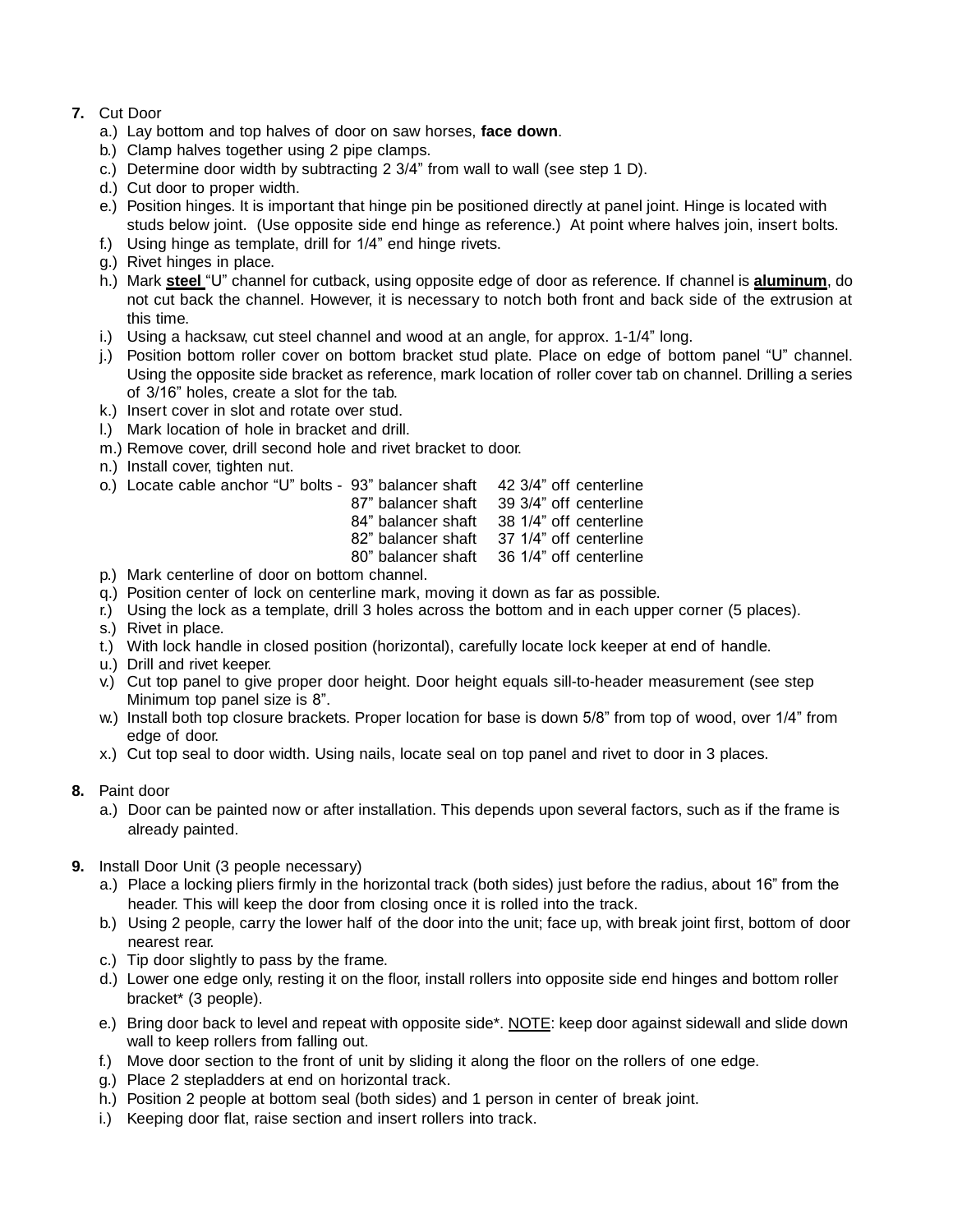- **7.** Cut Door
	- a.) Lay bottom and top halves of door on saw horses, **face down**.
	- b.) Clamp halves together using 2 pipe clamps.
	- c.) Determine door width by subtracting 2 3/4" from wall to wall (see step 1 D).
	- d.) Cut door to proper width.
	- e.) Position hinges. It is important that hinge pin be positioned directly at panel joint. Hinge is located with studs below joint. (Use opposite side end hinge as reference.) At point where halves join, insert bolts.
	- f.) Using hinge as template, drill for 1/4" end hinge rivets.
	- g.) Rivet hinges in place.
	- h.) Mark **steel** "U" channel for cutback, using opposite edge of door as reference. If channel is **aluminum**, do not cut back the channel. However, it is necessary to notch both front and back side of the extrusion at this time.
	- i.) Using a hacksaw, cut steel channel and wood at an angle, for approx. 1-1/4" long.
	- j.) Position bottom roller cover on bottom bracket stud plate. Place on edge of bottom panel "U" channel. Using the opposite side bracket as reference, mark location of roller cover tab on channel. Drilling a series of 3/16" holes, create a slot for the tab.
	- k.) Insert cover in slot and rotate over stud.
	- l.) Mark location of hole in bracket and drill.
	- m.) Remove cover, drill second hole and rivet bracket to door.
	- n.) Install cover, tighten nut.
	- o.) Locate cable anchor "U" bolts 93" balancer shaft 42 3/4" off centerline

| 93 balancer snaπ   | 42.3/4 OIT Centerline  |
|--------------------|------------------------|
| 87" balancer shaft | 39 3/4" off centerline |
| 84" balancer shaft | 38 1/4" off centerline |
| 82" balancer shaft | 37 1/4" off centerline |
| 80" balancer shaft | 36 1/4" off centerline |

- p.) Mark centerline of door on bottom channel.
- q.) Position center of lock on centerline mark, moving it down as far as possible.
- r.) Using the lock as a template, drill 3 holes across the bottom and in each upper corner (5 places).
- s.) Rivet in place.
- t.) With lock handle in closed position (horizontal), carefully locate lock keeper at end of handle.
- u.) Drill and rivet keeper.
- v.) Cut top panel to give proper door height. Door height equals sill-to-header measurement (see step Minimum top panel size is 8".
- w.) Install both top closure brackets. Proper location for base is down 5/8" from top of wood, over 1/4" from edge of door.
- x.) Cut top seal to door width. Using nails, locate seal on top panel and rivet to door in 3 places.
- **8.** Paint door
	- a.) Door can be painted now or after installation. This depends upon several factors, such as if the frame is already painted.
- **9.** Install Door Unit (3 people necessary)
	- a.) Place a locking pliers firmly in the horizontal track (both sides) just before the radius, about 16" from the header. This will keep the door from closing once it is rolled into the track.
	- b.) Using 2 people, carry the lower half of the door into the unit; face up, with break joint first, bottom of door nearest rear.
	- c.) Tip door slightly to pass by the frame.
	- d.) Lower one edge only, resting it on the floor, install rollers into opposite side end hinges and bottom roller bracket\* (3 people).
	- e.) Bring door back to level and repeat with opposite side\*. NOTE: keep door against sidewall and slide down wall to keep rollers from falling out.
	- f.) Move door section to the front of unit by sliding it along the floor on the rollers of one edge.
	- g.) Place 2 stepladders at end on horizontal track.
	- h.) Position 2 people at bottom seal (both sides) and 1 person in center of break joint.
	- i.) Keeping door flat, raise section and insert rollers into track.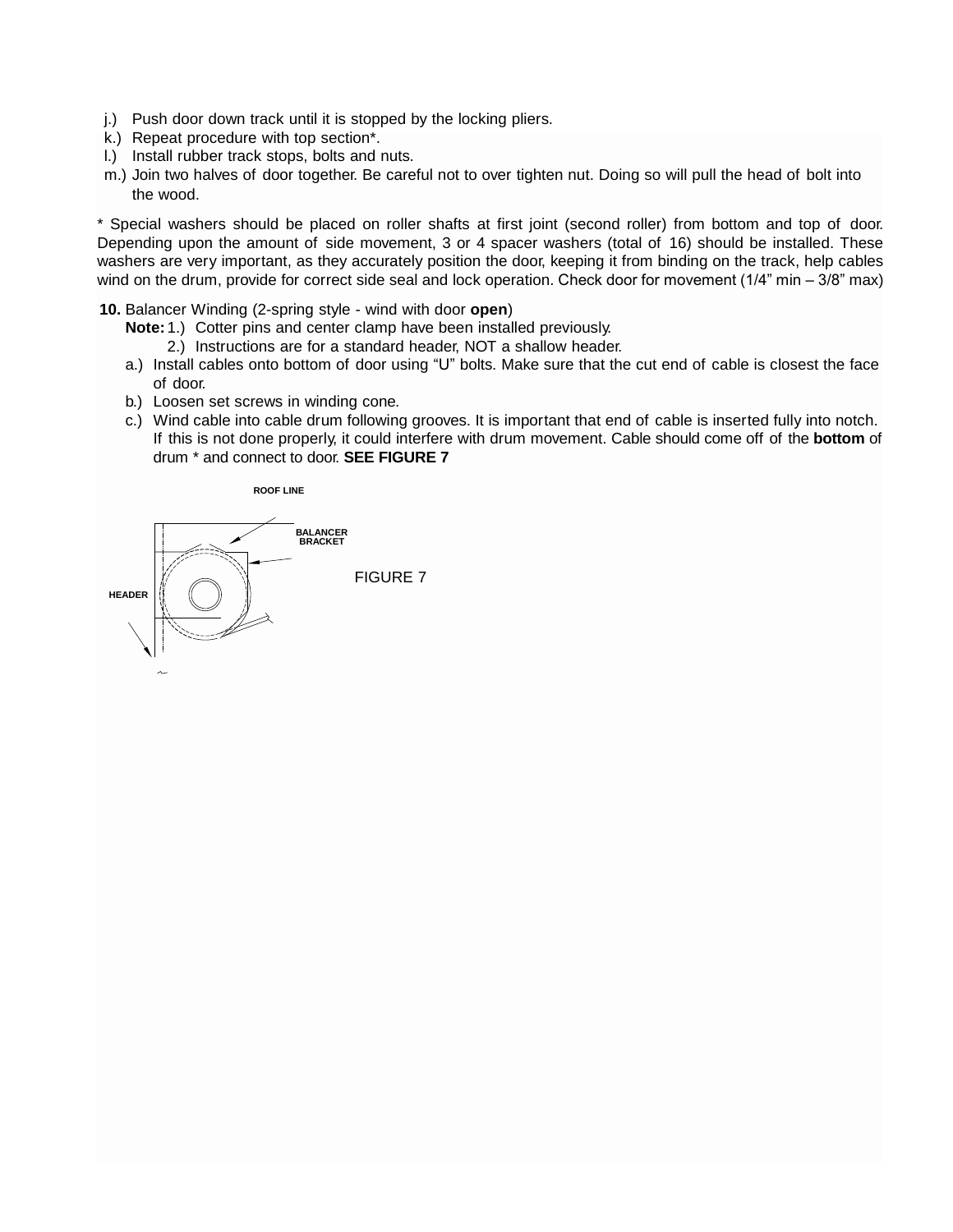- j.) Push door down track until it is stopped by the locking pliers.
- k.) Repeat procedure with top section\*.
- l.) Install rubber track stops, bolts and nuts.
- m.) Join two halves of door together. Be careful not to over tighten nut. Doing so will pull the head of bolt into the wood.

\* Special washers should be placed on roller shafts at first joint (second roller) from bottom and top of door. Depending upon the amount of side movement, 3 or 4 spacer washers (total of 16) should be installed. These washers are very important, as they accurately position the door, keeping it from binding on the track, help cables wind on the drum, provide for correct side seal and lock operation. Check door for movement (1/4" min – 3/8" max)

**10.** Balancer Winding (2-spring style - wind with door **open**)

- **Note:** 1.) Cotter pins and center clamp have been installed previously.
	- 2.) Instructions are for a standard header, NOT a shallow header.
- a.) Install cables onto bottom of door using "U" bolts. Make sure that the cut end of cable is closest the face of door.
- b.) Loosen set screws in winding cone.
- c.) Wind cable into cable drum following grooves. It is important that end of cable is inserted fully into notch. If this is not done properly, it could interfere with drum movement. Cable should come off of the **bottom** of drum \* and connect to door. **SEE FIGURE 7**

**ROOF LINE**

**BALANCER BRACKET HEADER** FIGURE 7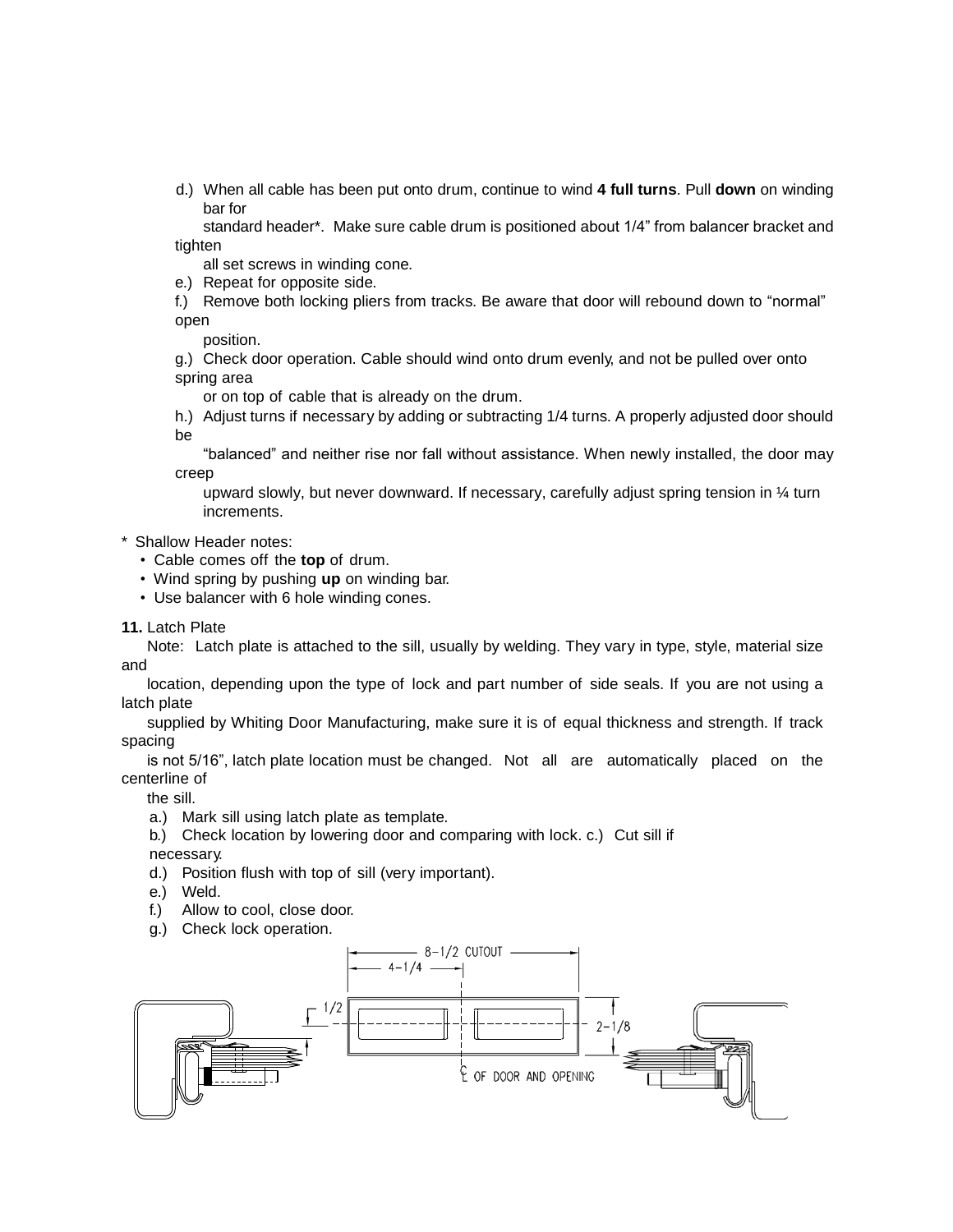d.) When all cable has been put onto drum, continue to wind **4 full turns**. Pull **down** on winding bar for

standard header\*. Make sure cable drum is positioned about 1/4" from balancer bracket and tighten

all set screws in winding cone.

e.) Repeat for opposite side.

f.) Remove both locking pliers from tracks. Be aware that door will rebound down to "normal" open

position.

g.) Check door operation. Cable should wind onto drum evenly, and not be pulled over onto spring area

or on top of cable that is already on the drum.

h.) Adjust turns if necessary by adding or subtracting 1/4 turns. A properly adjusted door should be

"balanced" and neither rise nor fall without assistance. When newly installed, the door may creep

upward slowly, but never downward. If necessary, carefully adjust spring tension in ¼ turn increments.

- \* Shallow Header notes:
	- Cable comes off the **top** of drum.
	- Wind spring by pushing **up** on winding bar.
	- Use balancer with 6 hole winding cones.

**11.** Latch Plate

Note: Latch plate is attached to the sill, usually by welding. They vary in type, style, material size and

location, depending upon the type of lock and part number of side seals. If you are not using a latch plate

supplied by Whiting Door Manufacturing, make sure it is of equal thickness and strength. If track spacing

is not 5/16", latch plate location must be changed. Not all are automatically placed on the centerline of

the sill.

- a.) Mark sill using latch plate as template.
- b.) Check location by lowering door and comparing with lock. c.) Cut sill if necessary.
- d.) Position flush with top of sill (very important).
- e.) Weld.
- f.) Allow to cool, close door.
- g.) Check lock operation.